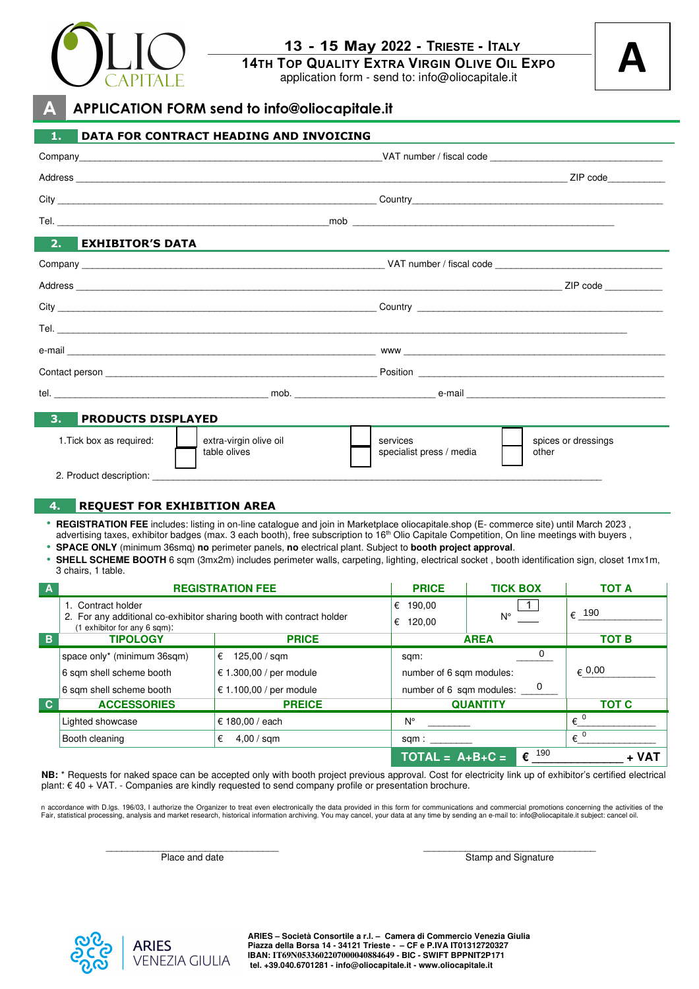

# **13 - 15 May 2022 - TRIESTE - ITALY**

**14TH TOP QUALITY EXTRA VIRGIN OLIVE OIL EXPO**

application form - send to: info@oliocapitale.it

# **A**

#### **A APPLICATION FORM send to info@oliocapitale.it**

| 1.                                                                                                                                                                                                                                                                 | DATA FOR CONTRACT HEADING AND INVOICING |                                      |                                             |                         |
|--------------------------------------------------------------------------------------------------------------------------------------------------------------------------------------------------------------------------------------------------------------------|-----------------------------------------|--------------------------------------|---------------------------------------------|-------------------------|
|                                                                                                                                                                                                                                                                    |                                         |                                      |                                             |                         |
|                                                                                                                                                                                                                                                                    |                                         |                                      |                                             |                         |
|                                                                                                                                                                                                                                                                    |                                         |                                      |                                             |                         |
|                                                                                                                                                                                                                                                                    |                                         |                                      |                                             |                         |
| <b>EXHIBITOR'S DATA</b><br>2.                                                                                                                                                                                                                                      |                                         |                                      |                                             |                         |
|                                                                                                                                                                                                                                                                    |                                         |                                      |                                             |                         |
|                                                                                                                                                                                                                                                                    |                                         |                                      |                                             |                         |
|                                                                                                                                                                                                                                                                    |                                         |                                      |                                             |                         |
|                                                                                                                                                                                                                                                                    |                                         |                                      |                                             |                         |
|                                                                                                                                                                                                                                                                    |                                         |                                      |                                             |                         |
|                                                                                                                                                                                                                                                                    |                                         |                                      |                                             |                         |
|                                                                                                                                                                                                                                                                    |                                         |                                      |                                             |                         |
|                                                                                                                                                                                                                                                                    |                                         |                                      |                                             |                         |
| 3.<br><b>PRODUCTS DISPLAYED</b>                                                                                                                                                                                                                                    |                                         |                                      |                                             |                         |
|                                                                                                                                                                                                                                                                    |                                         |                                      |                                             |                         |
| 1. Tick box as required:                                                                                                                                                                                                                                           | extra-virgin olive oil<br>table olives  | services<br>specialist press / media | other                                       | spices or dressings     |
|                                                                                                                                                                                                                                                                    |                                         |                                      |                                             |                         |
| 2. Product description: 2. Product description.                                                                                                                                                                                                                    |                                         |                                      |                                             |                         |
| 4.<br><b>REQUEST FOR EXHIBITION AREA</b>                                                                                                                                                                                                                           |                                         |                                      |                                             |                         |
| • REGISTRATION FEE includes: listing in on-line catalogue and join in Marketplace oliocapitale.shop (E- commerce site) until March 2023,                                                                                                                           |                                         |                                      |                                             |                         |
| advertising taxes, exhibitor badges (max. 3 each booth), free subscription to 16 <sup>th</sup> Olio Capitale Competition, On line meetings with buyers,<br>SPACE ONLY (minimum 36smq) no perimeter panels, no electrical plant. Subject to booth project approval. |                                         |                                      |                                             |                         |
| • SHELL SCHEME BOOTH 6 sqm (3mx2m) includes perimeter walls, carpeting, lighting, electrical socket, booth identification sign, closet 1mx1m,                                                                                                                      |                                         |                                      |                                             |                         |
| 3 chairs, 1 table.<br><b>REGISTRATION FEE</b>                                                                                                                                                                                                                      |                                         | <b>PRICE</b>                         | <b>TICK BOX</b>                             | <b>TOT A</b>            |
| 1. Contract holder                                                                                                                                                                                                                                                 |                                         | € 190,00                             |                                             |                         |
| 2. For any additional co-exhibitor sharing booth with contract holder<br>(1 exhibitor for any 6 sqm):                                                                                                                                                              |                                         | € 120.00                             | N°                                          | € 190                   |
| <b>TIPOLOGY</b><br>B                                                                                                                                                                                                                                               | <b>AREA</b><br><b>PRICE</b>             |                                      | <b>TOT B</b>                                |                         |
| space only* (minimum 36sqm)                                                                                                                                                                                                                                        | $\epsilon$ 125,00 / sqm                 | sqm:                                 | 0                                           |                         |
| 6 sqm shell scheme booth                                                                                                                                                                                                                                           | € 1.300,00 / per module                 |                                      | $\epsilon$ 0,00<br>number of 6 sqm modules: |                         |
| 6 sqm shell scheme booth                                                                                                                                                                                                                                           | € 1.100,00 / per module                 |                                      | 0<br>number of 6 sqm modules:               |                         |
| $\mathbf{C}$<br><b>ACCESSORIES</b>                                                                                                                                                                                                                                 | <b>PREICE</b>                           |                                      | <b>TOT C</b><br><b>QUANTITY</b>             |                         |
| Lighted showcase                                                                                                                                                                                                                                                   | € 180,00 / each                         | Ν°                                   |                                             | $\epsilon^{-0}$         |
| Booth cleaning                                                                                                                                                                                                                                                     | 4,00 / sqm<br>€                         | sqm:                                 |                                             | $\overline{\epsilon}^0$ |
|                                                                                                                                                                                                                                                                    |                                         | $TOTAL = A+B+C =$                    | $\epsilon$ <sup>190</sup>                   | + VAT                   |

**NB:** \* Requests for naked space can be accepted only with booth project previous approval. Cost for electricity link up of exhibitor's certified electrical plant: € 40 + VAT. - Companies are kindly requested to send company profile or presentation brochure.

n accordance with D.lgs. 196/03, I authorize the Organizer to treat even electronically the data provided in this form for communications and commercial promotions concerning the activities of the Fair, statistical processing, analysis and market research, historical information archiving. You may cancel, your data at any time by sending an e-mail to: info@oliocapitale.it subject: cancel oil.

> \_\_\_\_\_\_\_\_\_\_\_\_\_\_\_\_\_\_\_\_\_\_\_\_\_\_\_\_\_\_\_\_\_ Place and date

\_\_\_\_\_\_\_\_\_\_\_\_\_\_\_\_\_\_\_\_\_\_\_\_\_\_\_\_\_\_\_\_\_ Stamp and Signature

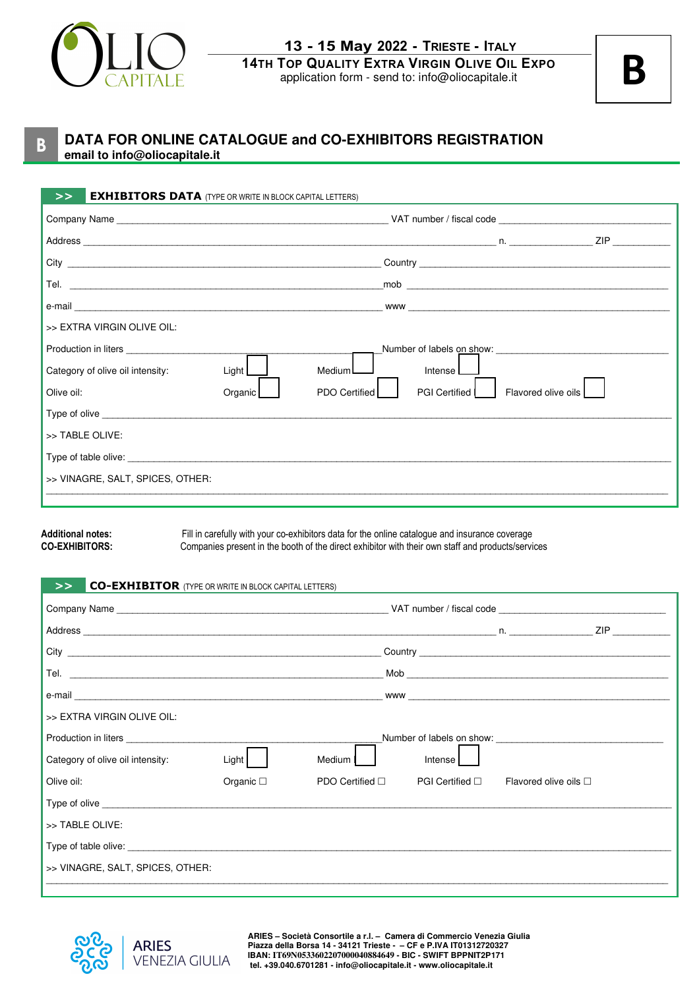

**13 - 15 May 2022 - TRIESTE - ITALY 14TH TOP QUALITY EXTRA VIRGIN OLIVE OIL EXPO** application form - send to: info@oliocapitale.it

**B**

#### **B DATA FOR ONLINE CATALOGUE and CO-EXHIBITORS REGISTRATION email to info@oliocapitale.it**

| <b>EXHIBITORS DATA</b> (TYPE OR WRITE IN BLOCK CAPITAL LETTERS)<br>> |                                                     |
|----------------------------------------------------------------------|-----------------------------------------------------|
|                                                                      |                                                     |
|                                                                      |                                                     |
|                                                                      |                                                     |
|                                                                      | $\mathsf{mob}$                                      |
|                                                                      |                                                     |
| >> EXTRA VIRGIN OLIVE OIL:                                           |                                                     |
| Production in liters <b>Example 20</b>                               | Number of labels on show: Number of labels on show: |
| MediumL<br>Category of olive oil intensity:<br>Light $L$             | Intense I                                           |
| PDO Certified<br>Olive oil:<br>Organic [                             | <b>PGI Certified</b><br>Flavored olive oils         |
|                                                                      |                                                     |
| >> TABLE OLIVE:                                                      |                                                     |
| Type of table olive: Type of table olive:                            |                                                     |
| >> VINAGRE, SALT, SPICES, OTHER:                                     |                                                     |
|                                                                      |                                                     |

Additional notes: Fill in carefully with your co-exhibitors data for the online catalogue and insurance coverage<br>CO-EXHIBITORS: Companies present in the booth of the direct exhibitor with their own staff and products/servi Companies present in the booth of the direct exhibitor with their own staff and products/services

#### **>> CO-EXHIBITOR** (TYPE OR WRITE IN BLOCK CAPITAL LETTERS)

|                                                                                                                                                                                                                                | WWW <b>with the contract of the contract of the contract of the contract of the contract of the contract of the contract of the contract of the contract of the contract of the contract of the contract of the contract of the </b> |                 |  |         |                                                       |  |
|--------------------------------------------------------------------------------------------------------------------------------------------------------------------------------------------------------------------------------|--------------------------------------------------------------------------------------------------------------------------------------------------------------------------------------------------------------------------------------|-----------------|--|---------|-------------------------------------------------------|--|
| >> EXTRA VIRGIN OLIVE OIL:                                                                                                                                                                                                     |                                                                                                                                                                                                                                      |                 |  |         |                                                       |  |
| <b>Production in liters Example 2018</b>                                                                                                                                                                                       | Number of labels on show:                                                                                                                                                                                                            |                 |  |         |                                                       |  |
| Category of olive oil intensity:                                                                                                                                                                                               | Light                                                                                                                                                                                                                                | Medium I        |  | Intense |                                                       |  |
| Olive oil:                                                                                                                                                                                                                     | Organic $\square$                                                                                                                                                                                                                    | PDO Certified □ |  |         | PGI Certified $\square$ Flavored olive oils $\square$ |  |
| Type of olive example and the state of the state of the state of the state of the state of the state of the state of the state of the state of the state of the state of the state of the state of the state of the state of t |                                                                                                                                                                                                                                      |                 |  |         |                                                       |  |
| >> TABLE OLIVE:                                                                                                                                                                                                                |                                                                                                                                                                                                                                      |                 |  |         |                                                       |  |
|                                                                                                                                                                                                                                |                                                                                                                                                                                                                                      |                 |  |         |                                                       |  |
| >> VINAGRE, SALT, SPICES, OTHER:                                                                                                                                                                                               |                                                                                                                                                                                                                                      |                 |  |         |                                                       |  |
|                                                                                                                                                                                                                                |                                                                                                                                                                                                                                      |                 |  |         |                                                       |  |



**ARIES – Società Consortile a r.l. – Camera di Commercio Venezia Giulia Piazza della Borsa 14 - 34121 Trieste - – CF e P.IVA IT01312720327 IBAN: IT69N0533602207000040884649 - BIC - SWIFT BPPNIT2P171 tel. +39.040.6701281 - info@oliocapitale.it - www.oliocapitale.it**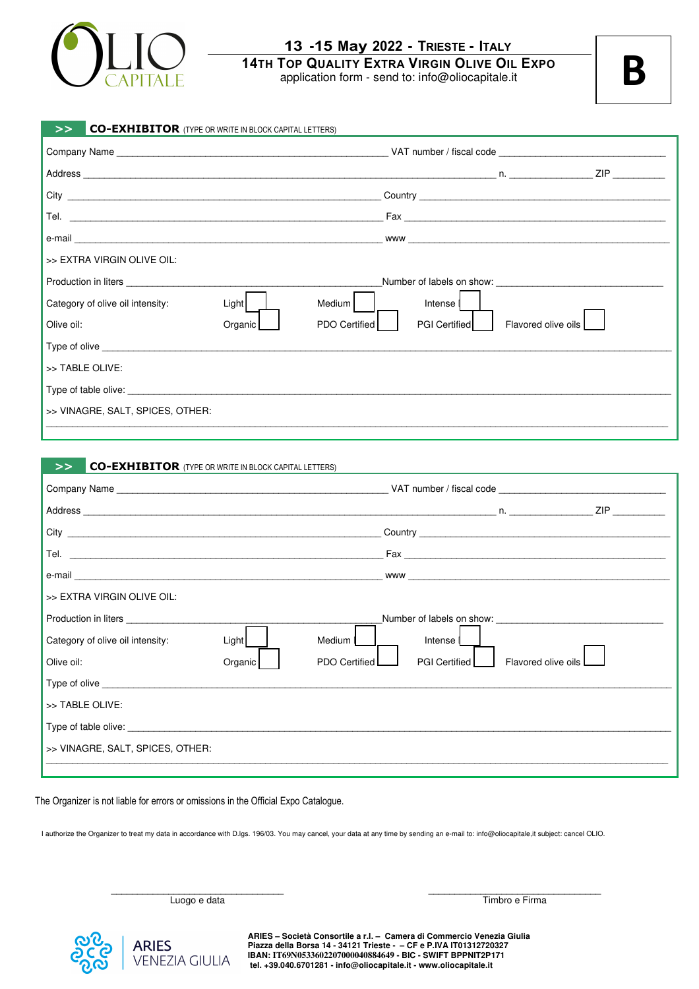

#### **13 -15 May 2022 - TRIESTE - ITALY 14TH TOP QUALITY EXTRA VIRGIN OLIVE OIL EXPO**

application form - send to: info@oliocapitale.it

**B**

| <b>CO-EXHIBITOR</b> (TYPE OR WRITE IN BLOCK CAPITAL LETTERS)<br>>> |         |                      |                                                                                                                                                                                                                                      |                     |  |
|--------------------------------------------------------------------|---------|----------------------|--------------------------------------------------------------------------------------------------------------------------------------------------------------------------------------------------------------------------------------|---------------------|--|
|                                                                    |         |                      |                                                                                                                                                                                                                                      |                     |  |
|                                                                    |         |                      |                                                                                                                                                                                                                                      |                     |  |
|                                                                    |         |                      | Country <b>Countries and Countries and Countries and Countries and Countries and Countries and Countries and Countries and Countries and Countries and Countries and Countries and Countries and Countries and Countries and Cou</b> |                     |  |
|                                                                    |         |                      |                                                                                                                                                                                                                                      |                     |  |
|                                                                    |         |                      |                                                                                                                                                                                                                                      |                     |  |
| >> EXTRA VIRGIN OLIVE OIL:                                         |         |                      |                                                                                                                                                                                                                                      |                     |  |
|                                                                    |         |                      |                                                                                                                                                                                                                                      |                     |  |
| Category of olive oil intensity:                                   | Light   | Medium               | Intense                                                                                                                                                                                                                              |                     |  |
| Olive oil:                                                         | Organic | <b>PDO Certified</b> | <b>PGI Certified</b>                                                                                                                                                                                                                 | Flavored olive oils |  |
|                                                                    |         |                      |                                                                                                                                                                                                                                      |                     |  |
| >> TABLE OLIVE:                                                    |         |                      |                                                                                                                                                                                                                                      |                     |  |
|                                                                    |         |                      |                                                                                                                                                                                                                                      |                     |  |
| >> VINAGRE, SALT, SPICES, OTHER:                                   |         |                      |                                                                                                                                                                                                                                      |                     |  |

#### **>> CO-EXHIBITOR** (TYPE OR WRITE IN BLOCK CAPITAL LETTERS)

| >> EXTRA VIRGIN OLIVE OIL:                                                                                                                                                                                                          |         |               |                           |                     |  |
|-------------------------------------------------------------------------------------------------------------------------------------------------------------------------------------------------------------------------------------|---------|---------------|---------------------------|---------------------|--|
| Production in liters <b>example 20</b> in the set of the set of the set of the set of the set of the set of the set of the set of the set of the set of the set of the set of the set of the set of the set of the set of the set o |         |               | Number of labels on show: |                     |  |
| Category of olive oil intensity:                                                                                                                                                                                                    | Light   | Medium I      | Intense                   |                     |  |
| Olive oil:                                                                                                                                                                                                                          | Organic | PDO Certified | PGI Certified             | Flavored olive oils |  |
| Type of olive the contract of the contract of the contract of the contract of the contract of the contract of the contract of the contract of the contract of the contract of the contract of the contract of the contract of       |         |               |                           |                     |  |
| >> TABLE OLIVE:                                                                                                                                                                                                                     |         |               |                           |                     |  |
| Type of table olive: Type of table olive:                                                                                                                                                                                           |         |               |                           |                     |  |
| >> VINAGRE, SALT, SPICES, OTHER:                                                                                                                                                                                                    |         |               |                           |                     |  |
|                                                                                                                                                                                                                                     |         |               |                           |                     |  |

\_\_\_\_\_\_\_\_\_\_\_\_\_\_\_\_\_\_\_\_\_\_\_\_\_\_\_\_\_\_\_\_\_\_\_\_\_\_\_\_\_\_\_\_\_\_\_\_\_\_\_\_\_\_\_\_\_\_\_\_\_\_\_\_\_\_\_\_\_\_\_\_\_\_\_\_\_\_\_\_\_\_\_\_\_\_\_\_\_\_\_\_\_\_\_\_\_\_\_\_\_\_\_\_\_\_\_\_\_\_\_\_\_\_\_\_\_\_\_

#### The Organizer is not liable for errors or omissions in the Official Expo Catalogue.

I authorize the Organizer to treat my data in accordance with D.lgs. 196/03. You may cancel, your data at any time by sending an e-mail to: info@oliocapitale,it subject: cancel OLIO.

\_\_\_\_\_\_\_\_\_\_\_\_\_\_\_\_\_\_\_\_\_\_\_\_\_\_\_\_\_\_\_\_\_ Luogo e data

**ARIES VENEZIA GIULIA** 

**ARIES – Società Consortile a r.l. – Camera di Commercio Venezia Giulia Piazza della Borsa 14 - 34121 Trieste - – CF e P.IVA IT01312720327 IBAN: IT69N0533602207000040884649 - BIC - SWIFT BPPNIT2P171 tel. +39.040.6701281 - info@oliocapitale.it - www.oliocapitale.it**

\_\_\_\_\_\_\_\_\_\_\_\_\_\_\_\_\_\_\_\_\_\_\_\_\_\_\_\_\_\_\_\_\_ Timbro e Firma